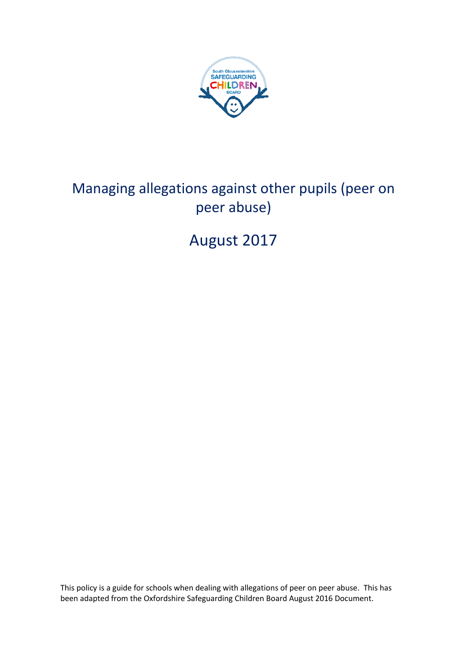

# Managing allegations against other pupils (peer on peer abuse)

# August 2017

This policy is a guide for schools when dealing with allegations of peer on peer abuse. This has been adapted from the Oxfordshire Safeguarding Children Board August 2016 Document.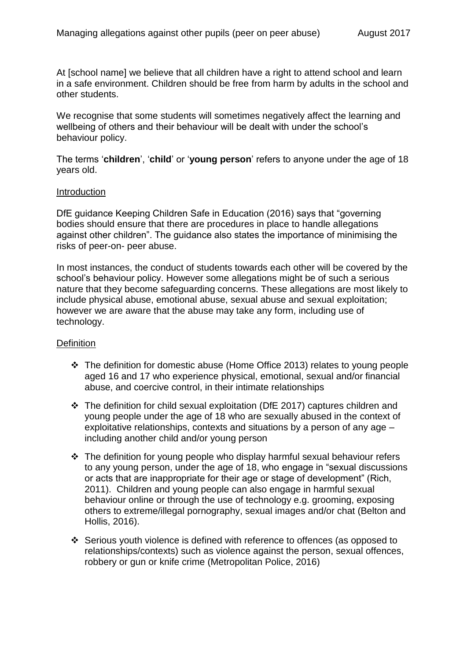At [school name] we believe that all children have a right to attend school and learn in a safe environment. Children should be free from harm by adults in the school and other students.

We recognise that some students will sometimes negatively affect the learning and wellbeing of others and their behaviour will be dealt with under the school's behaviour policy.

The terms '**children**', '**child**' or '**young person**' refers to anyone under the age of 18 years old.

#### **Introduction**

DfE guidance Keeping Children Safe in Education (2016) says that "governing bodies should ensure that there are procedures in place to handle allegations against other children". The guidance also states the importance of minimising the risks of peer-on- peer abuse.

In most instances, the conduct of students towards each other will be covered by the school's behaviour policy. However some allegations might be of such a serious nature that they become safeguarding concerns. These allegations are most likely to include physical abuse, emotional abuse, sexual abuse and sexual exploitation; however we are aware that the abuse may take any form, including use of technology.

## **Definition**

- The definition for domestic abuse (Home Office 2013) relates to young people aged 16 and 17 who experience physical, emotional, sexual and/or financial abuse, and coercive control, in their intimate relationships
- The definition for child sexual exploitation (DfE 2017) captures children and young people under the age of 18 who are sexually abused in the context of exploitative relationships, contexts and situations by a person of any age – including another child and/or young person
- $\cdot \cdot$  The definition for young people who display harmful sexual behaviour refers to any young person, under the age of 18, who engage in "sexual discussions or acts that are inappropriate for their age or stage of development" (Rich, 2011). Children and young people can also engage in harmful sexual behaviour online or through the use of technology e.g. grooming, exposing others to extreme/illegal pornography, sexual images and/or chat (Belton and Hollis, 2016).
- Serious youth violence is defined with reference to offences (as opposed to relationships/contexts) such as violence against the person, sexual offences, robbery or gun or knife crime (Metropolitan Police, 2016)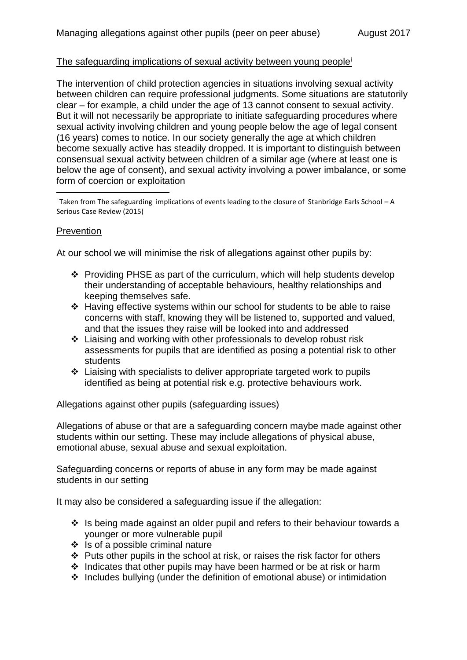## The safeguarding implications of sexual activity between young people<sup>i</sup>

The intervention of child protection agencies in situations involving sexual activity between children can require professional judgments. Some situations are statutorily clear – for example, a child under the age of 13 cannot consent to sexual activity. But it will not necessarily be appropriate to initiate safeguarding procedures where sexual activity involving children and young people below the age of legal consent (16 years) comes to notice. In our society generally the age at which children become sexually active has steadily dropped. It is important to distinguish between consensual sexual activity between children of a similar age (where at least one is below the age of consent), and sexual activity involving a power imbalance, or some form of coercion or exploitation

 $\overline{a}$  Taken from The safeguarding implications of events leading to the closure of Stanbridge Earls School – A Serious Case Review (2015)

#### Prevention

1

At our school we will minimise the risk of allegations against other pupils by:

- Providing PHSE as part of the curriculum, which will help students develop their understanding of acceptable behaviours, healthy relationships and keeping themselves safe.
- Having effective systems within our school for students to be able to raise concerns with staff, knowing they will be listened to, supported and valued, and that the issues they raise will be looked into and addressed
- Liaising and working with other professionals to develop robust risk assessments for pupils that are identified as posing a potential risk to other students
- $\triangle$  Liaising with specialists to deliver appropriate targeted work to pupils identified as being at potential risk e.g. protective behaviours work.

#### Allegations against other pupils (safeguarding issues)

Allegations of abuse or that are a safeguarding concern maybe made against other students within our setting. These may include allegations of physical abuse, emotional abuse, sexual abuse and sexual exploitation.

Safeguarding concerns or reports of abuse in any form may be made against students in our setting

It may also be considered a safeguarding issue if the allegation:

- $\cdot$  Is being made against an older pupil and refers to their behaviour towards a younger or more vulnerable pupil
- $\div$  is of a possible criminal nature
- $\triangle$  Puts other pupils in the school at risk, or raises the risk factor for others
- $\cdot$  Indicates that other pupils may have been harmed or be at risk or harm
- $\cdot$  Includes bullying (under the definition of emotional abuse) or intimidation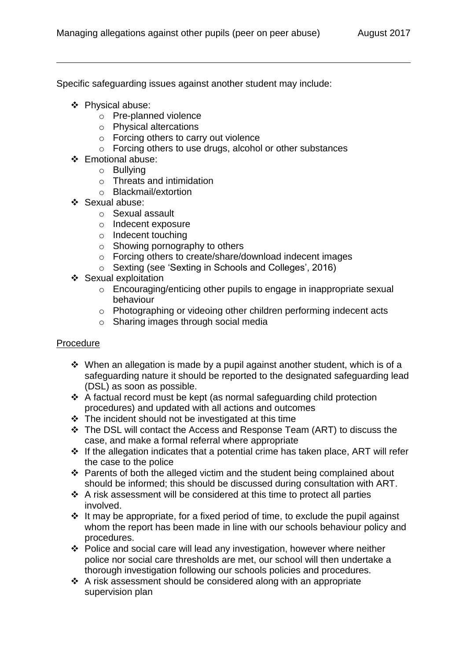Specific safeguarding issues against another student may include:

❖ Physical abuse:

1

- o Pre-planned violence
- o Physical altercations
- o Forcing others to carry out violence
- o Forcing others to use drugs, alcohol or other substances
- Emotional abuse:
	- o Bullying
	- o Threats and intimidation
	- o Blackmail/extortion
- ❖ Sexual abuse:
	- o Sexual assault
	- o Indecent exposure
	- o Indecent touching
	- $\circ$  Showing pornography to others
	- o Forcing others to create/share/download indecent images
	- o Sexting (see 'Sexting in Schools and Colleges', 2016)
- ❖ Sexual exploitation
	- o Encouraging/enticing other pupils to engage in inappropriate sexual behaviour
	- o Photographing or videoing other children performing indecent acts
	- o Sharing images through social media

# Procedure

- $\div$  When an allegation is made by a pupil against another student, which is of a safeguarding nature it should be reported to the designated safeguarding lead (DSL) as soon as possible.
- A factual record must be kept (as normal safeguarding child protection procedures) and updated with all actions and outcomes
- $\cdot \cdot$  The incident should not be investigated at this time
- The DSL will contact the Access and Response Team (ART) to discuss the case, and make a formal referral where appropriate
- $\div$  If the allegation indicates that a potential crime has taken place, ART will refer the case to the police
- $\triangle$  Parents of both the alleged victim and the student being complained about should be informed; this should be discussed during consultation with ART.
- $\triangle$  A risk assessment will be considered at this time to protect all parties involved.
- $\div$  It may be appropriate, for a fixed period of time, to exclude the pupil against whom the report has been made in line with our schools behaviour policy and procedures.
- Police and social care will lead any investigation, however where neither police nor social care thresholds are met, our school will then undertake a thorough investigation following our schools policies and procedures.
- A risk assessment should be considered along with an appropriate supervision plan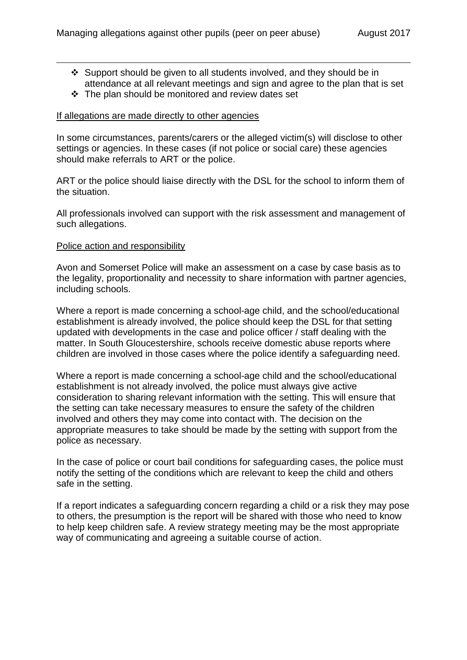- Support should be given to all students involved, and they should be in attendance at all relevant meetings and sign and agree to the plan that is set
- $\div$  The plan should be monitored and review dates set

### If allegations are made directly to other agencies

In some circumstances, parents/carers or the alleged victim(s) will disclose to other settings or agencies. In these cases (if not police or social care) these agencies should make referrals to ART or the police.

ART or the police should liaise directly with the DSL for the school to inform them of the situation.

All professionals involved can support with the risk assessment and management of such allegations.

#### Police action and responsibility

1

Avon and Somerset Police will make an assessment on a case by case basis as to the legality, proportionality and necessity to share information with partner agencies, including schools.

Where a report is made concerning a school-age child, and the school/educational establishment is already involved, the police should keep the DSL for that setting updated with developments in the case and police officer / staff dealing with the matter. In South Gloucestershire, schools receive domestic abuse reports where children are involved in those cases where the police identify a safeguarding need.

Where a report is made concerning a school-age child and the school/educational establishment is not already involved, the police must always give active consideration to sharing relevant information with the setting. This will ensure that the setting can take necessary measures to ensure the safety of the children involved and others they may come into contact with. The decision on the appropriate measures to take should be made by the setting with support from the police as necessary.

In the case of police or court bail conditions for safeguarding cases, the police must notify the setting of the conditions which are relevant to keep the child and others safe in the setting.

If a report indicates a safeguarding concern regarding a child or a risk they may pose to others, the presumption is the report will be shared with those who need to know to help keep children safe. A review strategy meeting may be the most appropriate way of communicating and agreeing a suitable course of action.